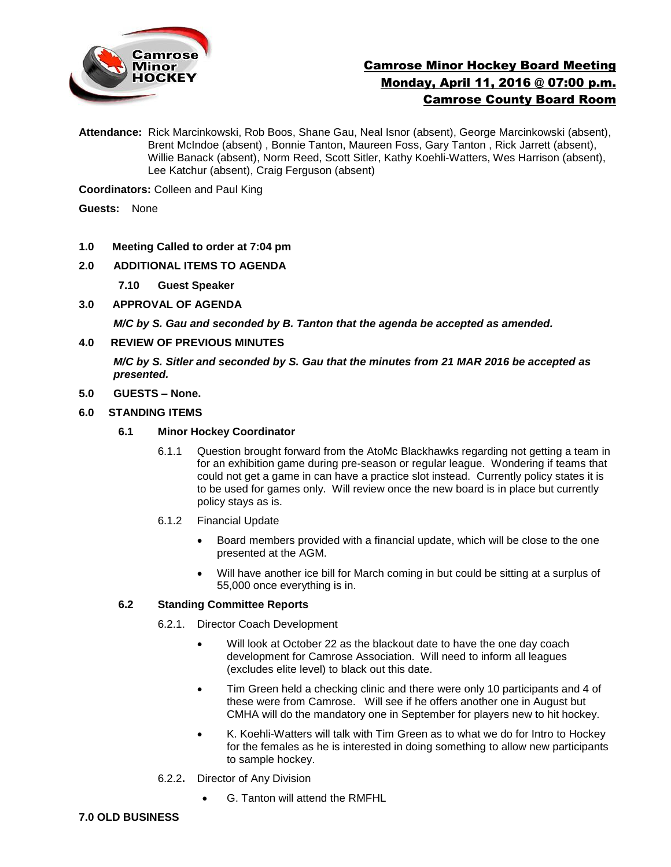

# Camrose Minor Hockey Board Meeting Monday, April 11, 2016 @ 07:00 p.m. Camrose County Board Room

**Attendance:** Rick Marcinkowski, Rob Boos, Shane Gau, Neal Isnor (absent), George Marcinkowski (absent), Brent McIndoe (absent) , Bonnie Tanton, Maureen Foss, Gary Tanton , Rick Jarrett (absent), Willie Banack (absent), Norm Reed, Scott Sitler, Kathy Koehli-Watters, Wes Harrison (absent), Lee Katchur (absent), Craig Ferguson (absent)

**Coordinators:** Colleen and Paul King

**Guests:** None

- **1.0 Meeting Called to order at 7:04 pm**
- **2.0 ADDITIONAL ITEMS TO AGENDA**
	- **7.10 Guest Speaker**
- **3.0 APPROVAL OF AGENDA**

*M/C by S. Gau and seconded by B. Tanton that the agenda be accepted as amended.* 

**4.0 REVIEW OF PREVIOUS MINUTES**

*M/C by S. Sitler and seconded by S. Gau that the minutes from 21 MAR 2016 be accepted as presented.*

- **5.0 GUESTS – None.**
- **6.0 STANDING ITEMS**
	- **6.1 Minor Hockey Coordinator** 
		- 6.1.1 Question brought forward from the AtoMc Blackhawks regarding not getting a team in for an exhibition game during pre-season or regular league. Wondering if teams that could not get a game in can have a practice slot instead. Currently policy states it is to be used for games only. Will review once the new board is in place but currently policy stays as is.
		- 6.1.2 Financial Update
			- Board members provided with a financial update, which will be close to the one presented at the AGM.
			- Will have another ice bill for March coming in but could be sitting at a surplus of 55,000 once everything is in.

#### **6.2 Standing Committee Reports**

- 6.2.1. Director Coach Development
	- Will look at October 22 as the blackout date to have the one day coach development for Camrose Association. Will need to inform all leagues (excludes elite level) to black out this date.
	- Tim Green held a checking clinic and there were only 10 participants and 4 of these were from Camrose. Will see if he offers another one in August but CMHA will do the mandatory one in September for players new to hit hockey.
	- K. Koehli-Watters will talk with Tim Green as to what we do for Intro to Hockey for the females as he is interested in doing something to allow new participants to sample hockey.
- 6.2.2**.** Director of Any Division
	- G. Tanton will attend the RMFHL

#### **7.0 OLD BUSINESS**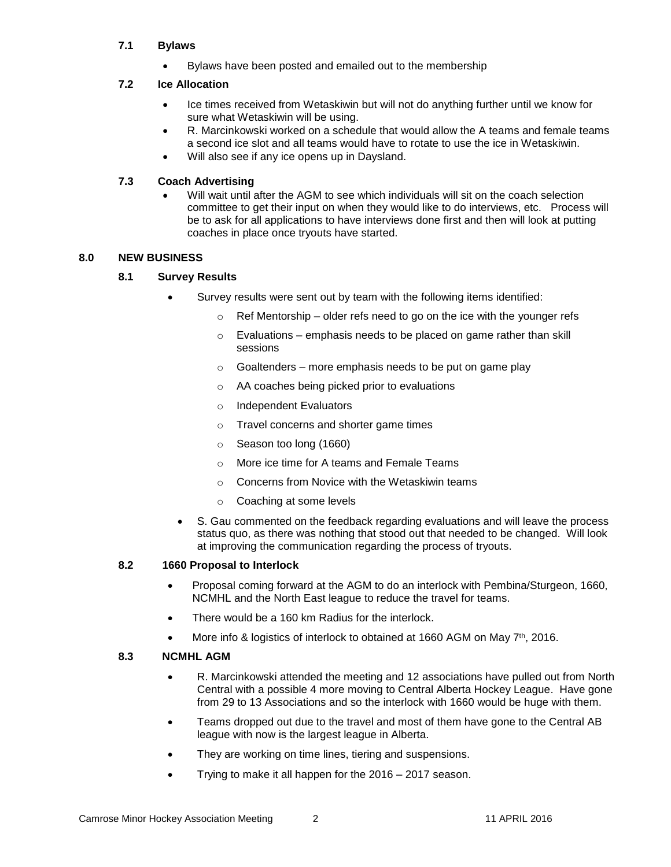#### **7.1 Bylaws**

Bylaws have been posted and emailed out to the membership

#### **7.2 Ice Allocation**

- Ice times received from Wetaskiwin but will not do anything further until we know for sure what Wetaskiwin will be using.
- R. Marcinkowski worked on a schedule that would allow the A teams and female teams a second ice slot and all teams would have to rotate to use the ice in Wetaskiwin.
- Will also see if any ice opens up in Daysland.

#### **7.3 Coach Advertising**

 Will wait until after the AGM to see which individuals will sit on the coach selection committee to get their input on when they would like to do interviews, etc. Process will be to ask for all applications to have interviews done first and then will look at putting coaches in place once tryouts have started.

#### **8.0 NEW BUSINESS**

## **8.1 Survey Results**

- Survey results were sent out by team with the following items identified:
	- $\circ$  Ref Mentorship older refs need to go on the ice with the younger refs
		- $\circ$  Evaluations emphasis needs to be placed on game rather than skill sessions
		- $\circ$  Goaltenders more emphasis needs to be put on game play
		- o AA coaches being picked prior to evaluations
		- o Independent Evaluators
		- o Travel concerns and shorter game times
		- o Season too long (1660)
		- o More ice time for A teams and Female Teams
		- o Concerns from Novice with the Wetaskiwin teams
		- o Coaching at some levels
- S. Gau commented on the feedback regarding evaluations and will leave the process status quo, as there was nothing that stood out that needed to be changed. Will look at improving the communication regarding the process of tryouts.

#### **8.2 1660 Proposal to Interlock**

- Proposal coming forward at the AGM to do an interlock with Pembina/Sturgeon, 1660, NCMHL and the North East league to reduce the travel for teams.
- There would be a 160 km Radius for the interlock.
- More info & logistics of interlock to obtained at 1660 AGM on May 7<sup>th</sup>, 2016.

## **8.3 NCMHL AGM**

- R. Marcinkowski attended the meeting and 12 associations have pulled out from North Central with a possible 4 more moving to Central Alberta Hockey League. Have gone from 29 to 13 Associations and so the interlock with 1660 would be huge with them.
- Teams dropped out due to the travel and most of them have gone to the Central AB league with now is the largest league in Alberta.
- They are working on time lines, tiering and suspensions.
- Trying to make it all happen for the 2016 2017 season.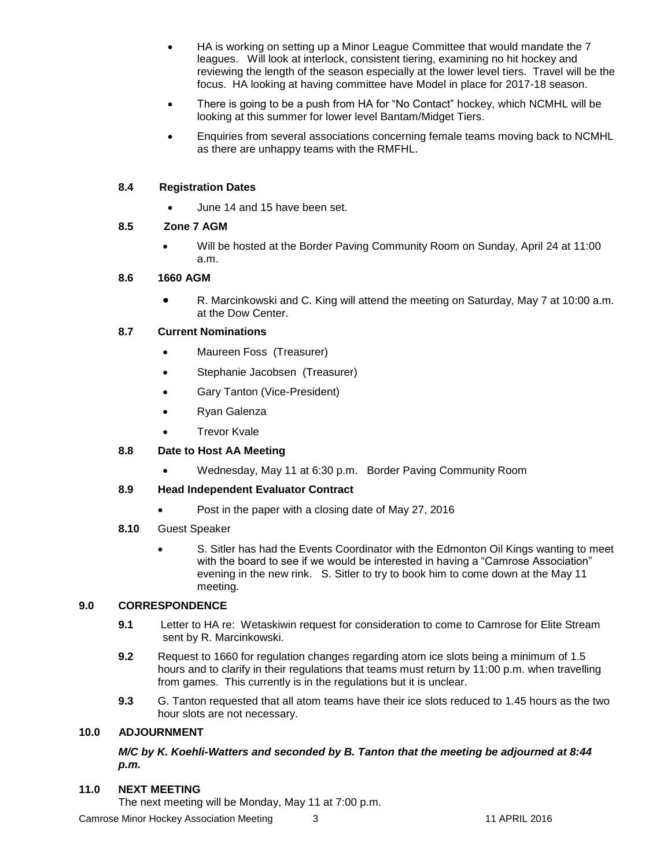- HA is working on setting up a Minor League Committee that would mandate the 7 leagues. Will look at interlock, consistent tiering, examining no hit hockey and reviewing the length of the season especially at the lower level tiers. Travel will be the focus. HA looking at having committee have Model in place for 2017-18 season.
- There is going to be a push from HA for "No Contact" hockey, which NCMHL will be looking at this summer for lower level Bantam/Midget Tiers.
- Enquiries from several associations concerning female teams moving back to NCMHL as there are unhappy teams with the RMFHL.

# **8.4 Registration Dates**

June 14 and 15 have been set.

## **8.5 Zone 7 AGM**

 Will be hosted at the Border Paving Community Room on Sunday, April 24 at 11:00 a.m.

# **8.6 1660 AGM**

 R. Marcinkowski and C. King will attend the meeting on Saturday, May 7 at 10:00 a.m. at the Dow Center.

# **8.7 Current Nominations**

- Maureen Foss (Treasurer)
- Stephanie Jacobsen (Treasurer)
- Gary Tanton (Vice-President)
- Ryan Galenza
- Trevor Kvale

## **8.8 Date to Host AA Meeting**

Wednesday, May 11 at 6:30 p.m. Border Paving Community Room

## **8.9 Head Independent Evaluator Contract**

- Post in the paper with a closing date of May 27, 2016
- **8.10** Guest Speaker
	- S. Sitler has had the Events Coordinator with the Edmonton Oil Kings wanting to meet with the board to see if we would be interested in having a "Camrose Association" evening in the new rink. S. Sitler to try to book him to come down at the May 11 meeting.

## **9.0 CORRESPONDENCE**

- **9.1** Letter to HA re: Wetaskiwin request for consideration to come to Camrose for Elite Stream sent by R. Marcinkowski.
- **9.2** Request to 1660 for regulation changes regarding atom ice slots being a minimum of 1.5 hours and to clarify in their regulations that teams must return by 11:00 p.m. when travelling from games. This currently is in the regulations but it is unclear.
- **9.3** G. Tanton requested that all atom teams have their ice slots reduced to 1.45 hours as the two hour slots are not necessary.

## **10.0 ADJOURNMENT**

## *M/C by K. Koehli-Watters and seconded by B. Tanton that the meeting be adjourned at 8:44 p.m.*

#### **11.0 NEXT MEETING**

The next meeting will be Monday, May 11 at 7:00 p.m.